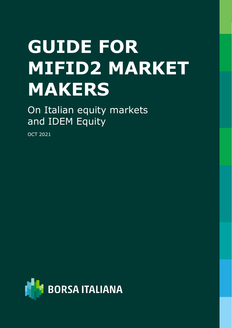# **GUIDE FOR MIFID2 MARKET MAKERS**

On Italian equity markets and IDEM Equity

OCT 2021

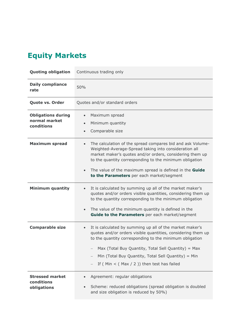## **Equity Markets**

| <b>Quoting obligation</b>                                | Continuous trading only                                                                                                                                                                                                                                                                                                                                         |
|----------------------------------------------------------|-----------------------------------------------------------------------------------------------------------------------------------------------------------------------------------------------------------------------------------------------------------------------------------------------------------------------------------------------------------------|
| <b>Daily compliance</b><br>rate                          | 50%                                                                                                                                                                                                                                                                                                                                                             |
| <b>Quote vs. Order</b>                                   | Quotes and/or standard orders                                                                                                                                                                                                                                                                                                                                   |
| <b>Obligations during</b><br>normal market<br>conditions | Maximum spread<br>Minimum quantity<br>$\bullet$<br>Comparable size                                                                                                                                                                                                                                                                                              |
| <b>Maximum spread</b>                                    | The calculation of the spread compares bid and ask Volume-<br>$\bullet$<br>Weighted-Average-Spread taking into consideration all<br>market maker's quotes and/or orders, considering them up<br>to the quantity corresponding to the minimum obligation<br>The value of the maximum spread is defined in the Guide<br>to the Parameters per each market/segment |
| <b>Minimum quantity</b>                                  | It is calculated by summing up all of the market maker's<br>quotes and/or orders visible quantities, considering them up<br>to the quantity corresponding to the minimum obligation<br>The value of the minimum quantity is defined in the<br>$\bullet$<br>Guide to the Parameters per each market/segment                                                      |
| <b>Comparable size</b>                                   | It is calculated by summing up all of the market maker's<br>$\bullet$<br>quotes and/or orders visible quantities, considering them up<br>to the quantity corresponding to the minimum obligation<br>Max (Total Buy Quantity, Total Sell Quantity) = Max<br>Min (Total Buy Quantity, Total Sell Quantity) = Min<br>If ( $Min < (Max / 2)$ ) then test has failed |
| <b>Stressed market</b><br>conditions<br>obligations      | Agreement: regular obligations<br>Scheme: reduced obligations (spread obligation is doubled<br>$\bullet$<br>and size obligation is reduced by 50%)                                                                                                                                                                                                              |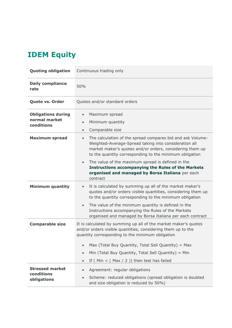## **IDEM Equity**

| <b>Quoting obligation</b>                                | Continuous trading only                                                                                                                                                                                                                                 |
|----------------------------------------------------------|---------------------------------------------------------------------------------------------------------------------------------------------------------------------------------------------------------------------------------------------------------|
| <b>Daily compliance</b><br>rate                          | 50%                                                                                                                                                                                                                                                     |
| Quote vs. Order                                          | Quotes and/or standard orders                                                                                                                                                                                                                           |
| <b>Obligations during</b><br>normal market<br>conditions | Maximum spread<br>$\bullet$<br>Minimum quantity<br>$\bullet$<br>Comparable size<br>$\bullet$                                                                                                                                                            |
| <b>Maximum spread</b>                                    | The calculation of the spread compares bid and ask Volume-<br>$\bullet$<br>Weighted-Average-Spread taking into consideration all<br>market maker's quotes and/or orders, considering them up<br>to the quantity corresponding to the minimum obligation |
|                                                          | The value of the maximum spread is defined in the<br>$\bullet$<br><b>Instructions accompanying the Rules of the Markets</b><br>organised and managed by Borsa Italiana per each<br>contract                                                             |
| <b>Minimum quantity</b>                                  | It is calculated by summing up all of the market maker's<br>$\bullet$<br>quotes and/or orders visible quantities, considering them up<br>to the quantity corresponding to the minimum obligation                                                        |
|                                                          | The value of the minimum quantity is defined in the<br>$\bullet$<br>Instructions accompanying the Rules of the Markets<br>organised and managed by Borsa Italiana per each contract                                                                     |
| <b>Comparable size</b>                                   | It is calculated by summing up all of the market maker's quotes<br>and/or orders visible quantities, considering them up to the<br>quantity corresponding to the minimum obligation                                                                     |
|                                                          | Max (Total Buy Quantity, Total Sell Quantity) = Max<br>$\bullet$                                                                                                                                                                                        |
|                                                          | Min (Total Buy Quantity, Total Sell Quantity) = Min<br>$\bullet$                                                                                                                                                                                        |
|                                                          | If ( $Min < (Max / 2)$ ) then test has failed<br>$\bullet$                                                                                                                                                                                              |
| <b>Stressed market</b>                                   | Agreement: regular obligations<br>$\bullet$                                                                                                                                                                                                             |
| conditions<br>obligations                                | Scheme: reduced obligations (spread obligation is doubled<br>$\bullet$<br>and size obligation is reduced by 50%)                                                                                                                                        |